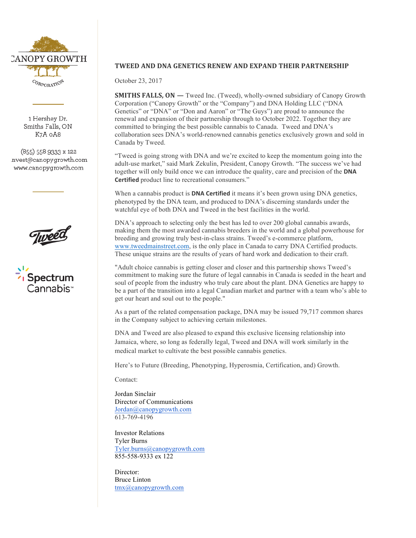

1 Hershey Dr. Smiths Falls, ON K7A oA8

 $(855)$  558 9333 x 122 nvest@canopygrowth.com www.canopygrowth.com





## **TWEED AND DNA GENETICS RENEW AND EXPAND THEIR PARTNERSHIP**

October 23, 2017

**SMITHS FALLS, ON —** Tweed Inc. (Tweed), wholly-owned subsidiary of Canopy Growth Corporation ("Canopy Growth" or the "Company") and DNA Holding LLC ("DNA Genetics" or "DNA" or "Don and Aaron" or "The Guys") are proud to announce the renewal and expansion of their partnership through to October 2022. Together they are committed to bringing the best possible cannabis to Canada. Tweed and DNA's collaboration sees DNA's world-renowned cannabis genetics exclusively grown and sold in Canada by Tweed.

"Tweed is going strong with DNA and we're excited to keep the momentum going into the adult-use market," said Mark Zekulin, President, Canopy Growth. "The success we've had together will only build once we can introduce the quality, care and precision of the **DNA Certified** product line to recreational consumers."

When a cannabis product is **DNA Certified** it means it's been grown using DNA genetics, phenotyped by the DNA team, and produced to DNA's discerning standards under the watchful eye of both DNA and Tweed in the best facilities in the world.

DNA's approach to selecting only the best has led to over 200 global cannabis awards, making them the most awarded cannabis breeders in the world and a global powerhouse for breeding and growing truly best-in-class strains. Tweed's e-commerce platform, www.tweedmainstreet.com, is the only place in Canada to carry DNA Certified products. These unique strains are the results of years of hard work and dedication to their craft.

"Adult choice cannabis is getting closer and closer and this partnership shows Tweed's commitment to making sure the future of legal cannabis in Canada is seeded in the heart and soul of people from the industry who truly care about the plant. DNA Genetics are happy to be a part of the transition into a legal Canadian market and partner with a team who's able to get our heart and soul out to the people."

As a part of the related compensation package, DNA may be issued 79,717 common shares in the Company subject to achieving certain milestones.

DNA and Tweed are also pleased to expand this exclusive licensing relationship into Jamaica, where, so long as federally legal, Tweed and DNA will work similarly in the medical market to cultivate the best possible cannabis genetics.

Here's to Future (Breeding, Phenotyping, Hyperosmia, Certification, and) Growth.

Contact:

Jordan Sinclair Director of Communications Jordan@canopygrowth.com 613-769-4196

Investor Relations Tyler Burns Tyler.burns@canopygrowth.com 855-558-9333 ex 122

Director: Bruce Linton tmx@canopygrowth.com